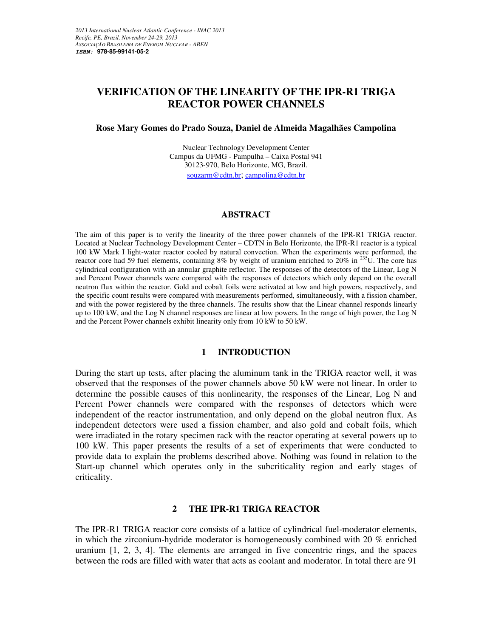# **VERIFICATION OF THE LINEARITY OF THE IPR-R1 TRIGA REACTOR POWER CHANNELS**

### **Rose Mary Gomes do Prado Souza, Daniel de Almeida Magalhães Campolina**

Nuclear Technology Development Center Campus da UFMG - Pampulha – Caixa Postal 941 30123-970, Belo Horizonte, MG, Brazil. souzarm@cdtn.br; campolina@cdtn.br

### **ABSTRACT**

The aim of this paper is to verify the linearity of the three power channels of the IPR-R1 TRIGA reactor. Located at Nuclear Technology Development Center – CDTN in Belo Horizonte, the IPR-R1 reactor is a typical 100 kW Mark I light-water reactor cooled by natural convection. When the experiments were performed, the reactor core had 59 fuel elements, containing 8% by weight of uranium enriched to 20% in <sup>235</sup>U. The core has cylindrical configuration with an annular graphite reflector. The responses of the detectors of the Linear, Log N and Percent Power channels were compared with the responses of detectors which only depend on the overall neutron flux within the reactor. Gold and cobalt foils were activated at low and high powers, respectively, and the specific count results were compared with measurements performed, simultaneously, with a fission chamber, and with the power registered by the three channels. The results show that the Linear channel responds linearly up to 100 kW, and the Log N channel responses are linear at low powers. In the range of high power, the Log N and the Percent Power channels exhibit linearity only from 10 kW to 50 kW.

### **1 INTRODUCTION**

During the start up tests, after placing the aluminum tank in the TRIGA reactor well, it was observed that the responses of the power channels above 50 kW were not linear. In order to determine the possible causes of this nonlinearity, the responses of the Linear, Log N and Percent Power channels were compared with the responses of detectors which were independent of the reactor instrumentation, and only depend on the global neutron flux. As independent detectors were used a fission chamber, and also gold and cobalt foils, which were irradiated in the rotary specimen rack with the reactor operating at several powers up to 100 kW. This paper presents the results of a set of experiments that were conducted to provide data to explain the problems described above. Nothing was found in relation to the Start-up channel which operates only in the subcriticality region and early stages of criticality.

# **2 THE IPR-R1 TRIGA REACTOR**

The IPR-R1 TRIGA reactor core consists of a lattice of cylindrical fuel-moderator elements, in which the zirconium-hydride moderator is homogeneously combined with 20 % enriched uranium [1, 2, 3, 4]. The elements are arranged in five concentric rings, and the spaces between the rods are filled with water that acts as coolant and moderator. In total there are 91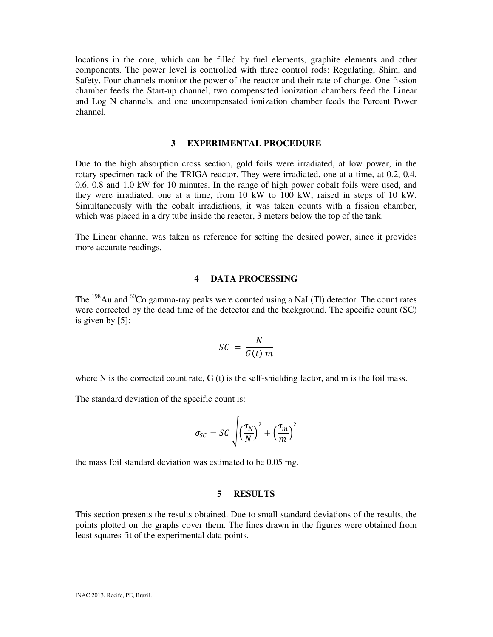locations in the core, which can be filled by fuel elements, graphite elements and other components. The power level is controlled with three control rods: Regulating, Shim, and Safety. Four channels monitor the power of the reactor and their rate of change. One fission chamber feeds the Start-up channel, two compensated ionization chambers feed the Linear and Log N channels, and one uncompensated ionization chamber feeds the Percent Power channel.

### **3 EXPERIMENTAL PROCEDURE**

Due to the high absorption cross section, gold foils were irradiated, at low power, in the rotary specimen rack of the TRIGA reactor. They were irradiated, one at a time, at 0.2, 0.4, 0.6, 0.8 and 1.0 kW for 10 minutes. In the range of high power cobalt foils were used, and they were irradiated, one at a time, from 10 kW to 100 kW, raised in steps of 10 kW. Simultaneously with the cobalt irradiations, it was taken counts with a fission chamber, which was placed in a dry tube inside the reactor, 3 meters below the top of the tank.

The Linear channel was taken as reference for setting the desired power, since it provides more accurate readings.

### **4 DATA PROCESSING**

The  $^{198}$ Au and  $^{60}$ Co gamma-ray peaks were counted using a NaI (Tl) detector. The count rates were corrected by the dead time of the detector and the background. The specific count (SC) is given by [5]:

$$
SC = \frac{N}{G(t) m}
$$

where N is the corrected count rate,  $G(t)$  is the self-shielding factor, and m is the foil mass.

The standard deviation of the specific count is:

$$
\sigma_{SC} = SC \sqrt{\left(\frac{\sigma_N}{N}\right)^2 + \left(\frac{\sigma_m}{m}\right)^2}
$$

the mass foil standard deviation was estimated to be 0.05 mg.

#### **5 RESULTS**

This section presents the results obtained. Due to small standard deviations of the results, the points plotted on the graphs cover them. The lines drawn in the figures were obtained from least squares fit of the experimental data points.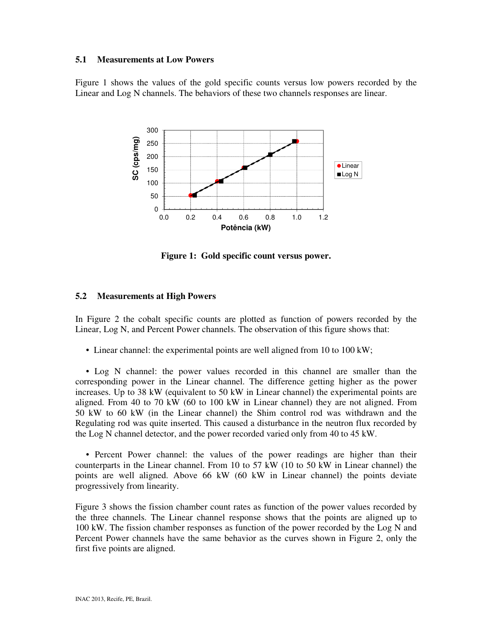### **5.1 Measurements at Low Powers**

Figure 1 shows the values of the gold specific counts versus low powers recorded by the Linear and Log N channels. The behaviors of these two channels responses are linear.



**Figure 1: Gold specific count versus power.** 

# **5.2 Measurements at High Powers**

In Figure 2 the cobalt specific counts are plotted as function of powers recorded by the Linear, Log N, and Percent Power channels. The observation of this figure shows that:

• Linear channel: the experimental points are well aligned from 10 to 100 kW;

 • Log N channel: the power values recorded in this channel are smaller than the corresponding power in the Linear channel. The difference getting higher as the power increases. Up to 38 kW (equivalent to 50 kW in Linear channel) the experimental points are aligned. From 40 to 70 kW (60 to 100 kW in Linear channel) they are not aligned. From 50 kW to 60 kW (in the Linear channel) the Shim control rod was withdrawn and the Regulating rod was quite inserted. This caused a disturbance in the neutron flux recorded by the Log N channel detector, and the power recorded varied only from 40 to 45 kW.

 • Percent Power channel: the values of the power readings are higher than their counterparts in the Linear channel. From 10 to 57 kW (10 to 50 kW in Linear channel) the points are well aligned. Above 66 kW (60 kW in Linear channel) the points deviate progressively from linearity.

Figure 3 shows the fission chamber count rates as function of the power values recorded by the three channels. The Linear channel response shows that the points are aligned up to 100 kW. The fission chamber responses as function of the power recorded by the Log N and Percent Power channels have the same behavior as the curves shown in Figure 2, only the first five points are aligned.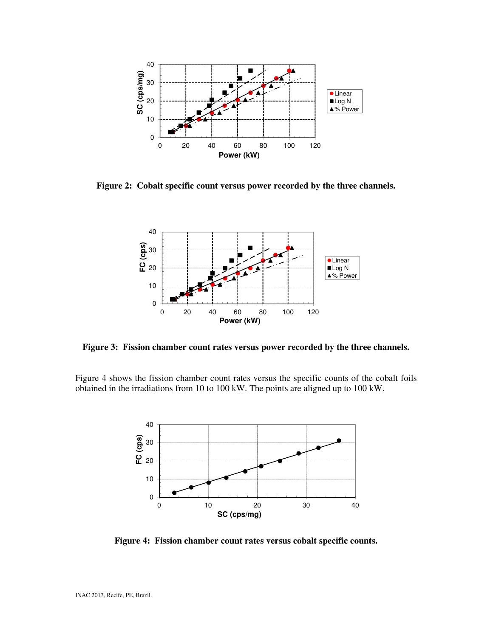

**Figure 2: Cobalt specific count versus power recorded by the three channels.** 



**Figure 3: Fission chamber count rates versus power recorded by the three channels.**

Figure 4 shows the fission chamber count rates versus the specific counts of the cobalt foils obtained in the irradiations from 10 to 100 kW. The points are aligned up to 100 kW.



**Figure 4: Fission chamber count rates versus cobalt specific counts.**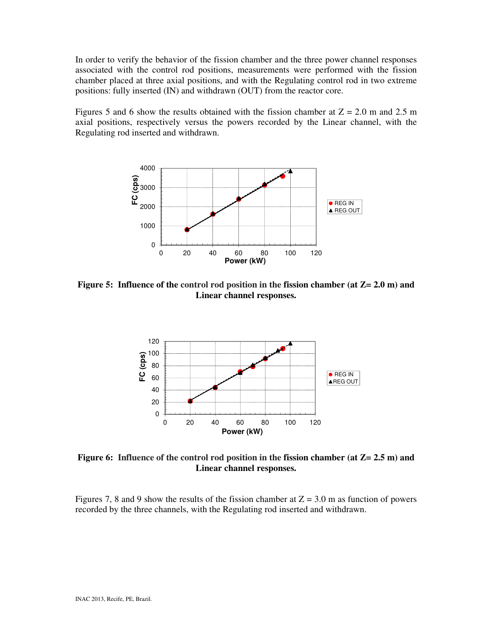In order to verify the behavior of the fission chamber and the three power channel responses associated with the control rod positions, measurements were performed with the fission chamber placed at three axial positions, and with the Regulating control rod in two extreme positions: fully inserted (IN) and withdrawn (OUT) from the reactor core.

Figures 5 and 6 show the results obtained with the fission chamber at  $Z = 2.0$  m and 2.5 m axial positions, respectively versus the powers recorded by the Linear channel, with the Regulating rod inserted and withdrawn.



**Figure 5: Influence of the control rod position in the fission chamber (at Z= 2.0 m) and Linear channel responses.**



**Figure 6: Influence of the control rod position in the fission chamber (at Z= 2.5 m) and Linear channel responses.**

Figures 7, 8 and 9 show the results of the fission chamber at  $Z = 3.0$  m as function of powers recorded by the three channels, with the Regulating rod inserted and withdrawn.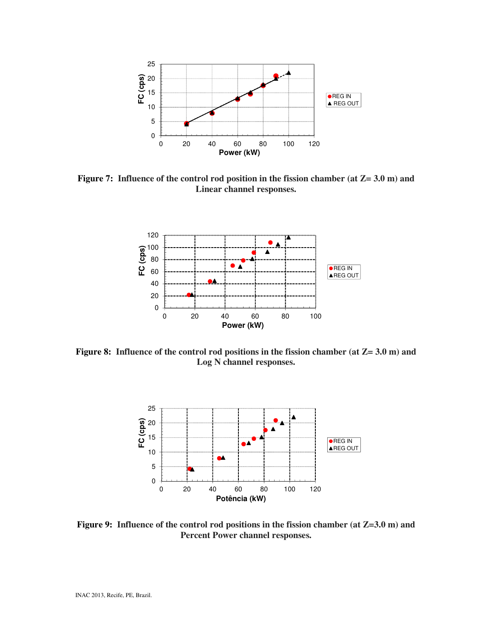

**Figure 7: Influence of the control rod position in the fission chamber (at Z= 3.0 m) and Linear channel responses.** 



**Figure 8: Influence of the control rod positions in the fission chamber (at Z= 3.0 m) and Log N channel responses.** 



**Figure 9: Influence of the control rod positions in the fission chamber (at Z=3.0 m) and Percent Power channel responses.**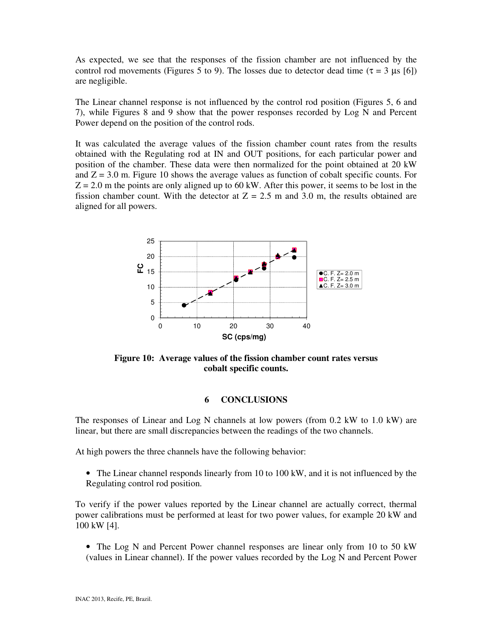As expected, we see that the responses of the fission chamber are not influenced by the control rod movements (Figures 5 to 9). The losses due to detector dead time ( $\tau = 3 \mu s$  [6]) are negligible.

The Linear channel response is not influenced by the control rod position (Figures 5, 6 and 7), while Figures 8 and 9 show that the power responses recorded by Log N and Percent Power depend on the position of the control rods.

It was calculated the average values of the fission chamber count rates from the results obtained with the Regulating rod at IN and OUT positions, for each particular power and position of the chamber. These data were then normalized for the point obtained at 20 kW and  $Z = 3.0$  m. Figure 10 shows the average values as function of cobalt specific counts. For  $Z = 2.0$  m the points are only aligned up to 60 kW. After this power, it seems to be lost in the fission chamber count. With the detector at  $Z = 2.5$  m and 3.0 m, the results obtained are aligned for all powers.



**Figure 10: Average values of the fission chamber count rates versus cobalt specific counts.** 

# **6 CONCLUSIONS**

The responses of Linear and Log N channels at low powers (from 0.2 kW to 1.0 kW) are linear, but there are small discrepancies between the readings of the two channels.

At high powers the three channels have the following behavior:

• The Linear channel responds linearly from 10 to 100 kW, and it is not influenced by the Regulating control rod position.

To verify if the power values reported by the Linear channel are actually correct, thermal power calibrations must be performed at least for two power values, for example 20 kW and 100 kW [4].

• The Log N and Percent Power channel responses are linear only from 10 to 50 kW (values in Linear channel). If the power values recorded by the Log N and Percent Power